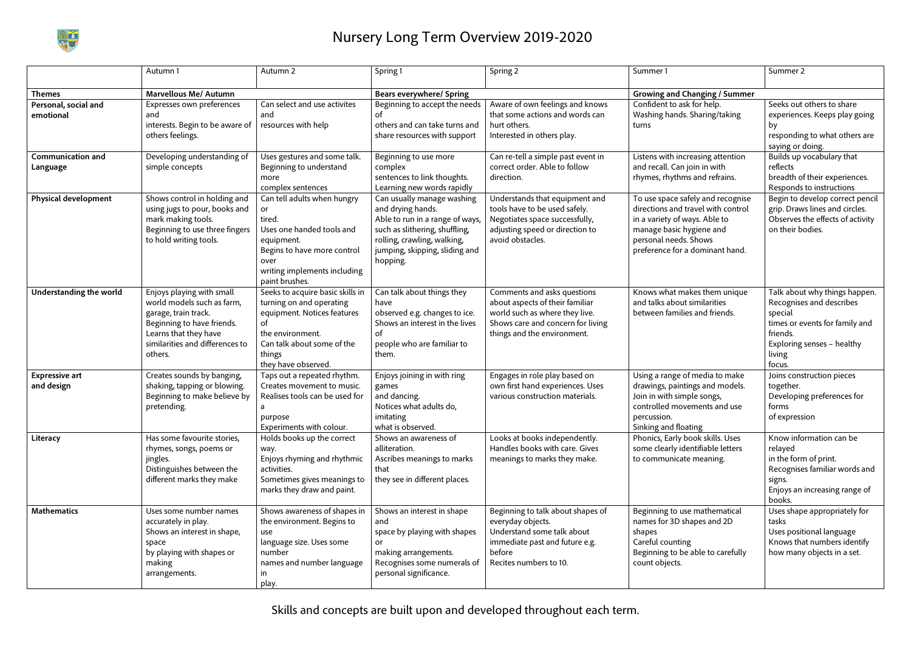

## Nursery Long Term Overview 2019-2020

Skills and concepts are built upon and developed throughout each term.

|                                      | Autumn 1                                                                                                                                                                             | Autumn 2                                                                                                                                                                             | Spring 1                                                                                                                                                                                          | Spring 2                                                                                                                                                             | Summer 1                                                                                                                                                                                         | Summer 2                                                                                                                                                             |
|--------------------------------------|--------------------------------------------------------------------------------------------------------------------------------------------------------------------------------------|--------------------------------------------------------------------------------------------------------------------------------------------------------------------------------------|---------------------------------------------------------------------------------------------------------------------------------------------------------------------------------------------------|----------------------------------------------------------------------------------------------------------------------------------------------------------------------|--------------------------------------------------------------------------------------------------------------------------------------------------------------------------------------------------|----------------------------------------------------------------------------------------------------------------------------------------------------------------------|
| <b>Themes</b>                        | <b>Marvellous Me/ Autumn</b>                                                                                                                                                         |                                                                                                                                                                                      | <b>Bears everywhere/ Spring</b>                                                                                                                                                                   |                                                                                                                                                                      | <b>Growing and Changing / Summer</b>                                                                                                                                                             |                                                                                                                                                                      |
| Personal, social and<br>emotional    | Expresses own preferences<br>and<br>interests. Begin to be aware of<br>others feelings.                                                                                              | Can select and use activites<br>and<br>resources with help                                                                                                                           | Beginning to accept the needs<br>οf<br>others and can take turns and<br>share resources with support                                                                                              | Aware of own feelings and knows<br>that some actions and words can<br>hurt others.<br>Interested in others play.                                                     | Confident to ask for help.<br>Washing hands. Sharing/taking<br>turns                                                                                                                             | Seeks out others to share<br>experiences. Keeps play going<br>bу<br>responding to what others are<br>saying or doing.                                                |
| <b>Communication and</b><br>Language | Developing understanding of<br>simple concepts                                                                                                                                       | Uses gestures and some talk.<br>Beginning to understand<br>more<br>complex sentences                                                                                                 | Beginning to use more<br>complex<br>sentences to link thoughts.<br>Learning new words rapidly                                                                                                     | Can re-tell a simple past event in<br>correct order. Able to follow<br>direction.                                                                                    | Listens with increasing attention<br>and recall. Can join in with<br>rhymes, rhythms and refrains.                                                                                               | Builds up vocabulary that<br>reflects<br>breadth of their experiences.<br>Responds to instructions                                                                   |
| <b>Physical development</b>          | Shows control in holding and<br>using jugs to pour, books and<br>mark making tools.<br>Beginning to use three fingers<br>to hold writing tools.                                      | Can tell adults when hungry<br>or<br>tired.<br>Uses one handed tools and<br>equipment.<br>Begins to have more control<br>over<br>writing implements including<br>paint brushes.      | Can usually manage washing<br>and drying hands.<br>Able to run in a range of ways,<br>such as slithering, shuffling,<br>rolling, crawling, walking,<br>jumping, skipping, sliding and<br>hopping. | Understands that equipment and<br>tools have to be used safely.<br>Negotiates space successfully,<br>adjusting speed or direction to<br>avoid obstacles.             | To use space safely and recognise<br>directions and travel with control<br>in a variety of ways. Able to<br>manage basic hygiene and<br>personal needs. Shows<br>preference for a dominant hand. | Begin to develop correct pencil  <br>grip. Draws lines and circles.<br>Observes the effects of activity<br>on their bodies.                                          |
| Understanding the world              | Enjoys playing with small<br>world models such as farm,<br>garage, train track.<br>Beginning to have friends.<br>Learns that they have<br>similarities and differences to<br>others. | Seeks to acquire basic skills in<br>turning on and operating<br>equipment. Notices features<br>of<br>the environment.<br>Can talk about some of the<br>things<br>they have observed. | Can talk about things they<br>have<br>observed e.g. changes to ice.<br>Shows an interest in the lives<br>οf<br>people who are familiar to<br>them.                                                | Comments and asks questions<br>about aspects of their familiar<br>world such as where they live.<br>Shows care and concern for living<br>things and the environment. | Knows what makes them unique<br>and talks about similarities<br>between families and friends.                                                                                                    | Talk about why things happen.<br>Recognises and describes<br>special<br>times or events for family and<br>friends.<br>Exploring senses - healthy<br>living<br>focus. |
| <b>Expressive art</b><br>and design  | Creates sounds by banging,<br>shaking, tapping or blowing.<br>Beginning to make believe by<br>pretending.                                                                            | Taps out a repeated rhythm.<br>Creates movement to music.<br>Realises tools can be used for<br>purpose<br>Experiments with colour.                                                   | Enjoys joining in with ring<br>games<br>and dancing.<br>Notices what adults do,<br>imitating<br>what is observed.                                                                                 | Engages in role play based on<br>own first hand experiences. Uses<br>various construction materials.                                                                 | Using a range of media to make<br>drawings, paintings and models.<br>Join in with simple songs,<br>controlled movements and use<br>percussion.<br>Sinking and floating                           | Joins construction pieces<br>together.<br>Developing preferences for<br>forms<br>of expression                                                                       |
| Literacy                             | Has some favourite stories,<br>rhymes, songs, poems or<br>jingles.<br>Distinguishes between the<br>different marks they make                                                         | Holds books up the correct<br>way.<br>Enjoys rhyming and rhythmic<br>activities.<br>Sometimes gives meanings to<br>marks they draw and paint.                                        | Shows an awareness of<br>alliteration.<br>Ascribes meanings to marks<br>that<br>they see in different places.                                                                                     | Looks at books independently.<br>Handles books with care. Gives<br>meanings to marks they make.                                                                      | Phonics, Early book skills. Uses<br>some clearly identifiable letters<br>to communicate meaning.                                                                                                 | Know information can be<br>relayed<br>in the form of print.<br>Recognises familiar words and<br>signs.<br>Enjoys an increasing range of<br>books.                    |
| <b>Mathematics</b>                   | Uses some number names<br>accurately in play.<br>Shows an interest in shape,<br>space<br>by playing with shapes or<br>making<br>arrangements.                                        | Shows awareness of shapes in<br>the environment. Begins to<br>use<br>language size. Uses some<br>number<br>names and number language<br>ın<br>play.                                  | Shows an interest in shape<br>and<br>space by playing with shapes<br>or<br>making arrangements.<br>Recognises some numerals of<br>personal significance.                                          | Beginning to talk about shapes of<br>everyday objects.<br>Understand some talk about<br>immediate past and future e.g.<br>before<br>Recites numbers to 10.           | Beginning to use mathematical<br>names for 3D shapes and 2D<br>shapes<br>Careful counting<br>Beginning to be able to carefully<br>count objects.                                                 | Uses shape appropriately for<br>tasks<br>Uses positional language<br>Knows that numbers identify<br>how many objects in a set.                                       |